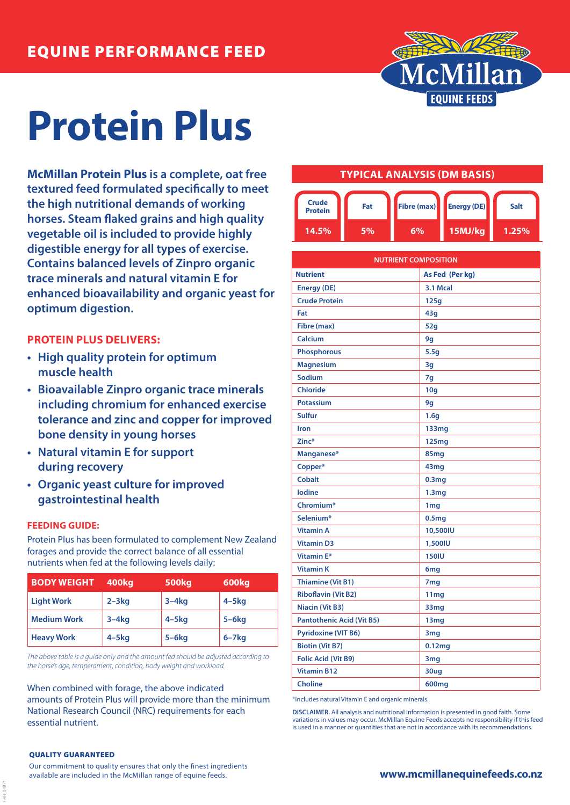

# **Protein Plus**

**McMillan Protein Plus is a complete, oat free textured feed formulated specifically to meet the high nutritional demands of working horses. Steam flaked grains and high quality vegetable oil is included to provide highly digestible energy for all types of exercise. Contains balanced levels of Zinpro organic trace minerals and natural vitamin E for enhanced bioavailability and organic yeast for optimum digestion.**

# **PROTEIN PLUS DELIVERS:**

- **• High quality protein for optimum muscle health**
- **• Bioavailable Zinpro organic trace minerals including chromium for enhanced exercise tolerance and zinc and copper for improved bone density in young horses**
- **• Natural vitamin E for support during recovery**
- **• Organic yeast culture for improved gastrointestinal health**

## **FEEDING GUIDE:**

Protein Plus has been formulated to complement New Zealand forages and provide the correct balance of all essential nutrients when fed at the following levels daily:

| <b>BODY WEIGHT</b> | 400kg      | <b>500kg</b> | 600kg        |
|--------------------|------------|--------------|--------------|
| <b>Light Work</b>  | $2 - 3kg$  | $3-4kg$      | $4 - 5$ kg   |
| <b>Medium Work</b> | $3-4kq$    | $4 - 5$ kg   | $5-6kg$      |
| <b>Heavy Work</b>  | $4 - 5$ kg | $5-6kg$      | $6 - 7$ $kg$ |

*The above table is a guide only and the amount fed should be adjusted according to the horse's age, temperament, condition, body weight and workload.*

When combined with forage, the above indicated amounts of Protein Plus will provide more than the minimum National Research Council (NRC) requirements for each essential nutrient.

## **TYPICAL ANALYSIS (DM BASIS)**



| <b>NUTRIENT COMPOSITION</b>      |                    |  |
|----------------------------------|--------------------|--|
| <b>Nutrient</b>                  | As Fed (Per kg)    |  |
| <b>Energy (DE)</b>               | 3.1 Mcal           |  |
| <b>Crude Protein</b>             | 125q               |  |
| Fat                              | 43q                |  |
| Fibre (max)                      | 52q                |  |
| Calcium                          | 9q                 |  |
| <b>Phosphorous</b>               | 5.5g               |  |
| <b>Magnesium</b>                 | 3g                 |  |
| Sodium                           | 7g                 |  |
| <b>Chloride</b>                  | 10g                |  |
| <b>Potassium</b>                 | 9g                 |  |
| Sulfur                           | 1.6g               |  |
| Iron                             | 133mg              |  |
| Zinc*                            | <b>125mg</b>       |  |
| Manganese*                       | 85mg               |  |
| Copper*                          | 43mg               |  |
| <b>Cobalt</b>                    | 0.3 <sub>mq</sub>  |  |
| lodine                           | 1.3 <sub>mg</sub>  |  |
| Chromium*                        | 1 <sub>mg</sub>    |  |
| Selenium*                        | 0.5 <sub>mg</sub>  |  |
| <b>Vitamin A</b>                 | 10,500IU           |  |
| <b>Vitamin D3</b>                | 1,500IU            |  |
| <b>Vitamin E*</b>                | <b>150IU</b>       |  |
| <b>Vitamin K</b>                 | 6mg                |  |
| <b>Thiamine (Vit B1)</b>         | 7 <sub>mg</sub>    |  |
| <b>Riboflavin (Vit B2)</b>       | 11mg               |  |
| <b>Niacin (Vit B3)</b>           | 33mg               |  |
| <b>Pantothenic Acid (Vit B5)</b> | 13mg               |  |
| <b>Pyridoxine (VIT B6)</b>       | 3 <sub>mg</sub>    |  |
| <b>Biotin (Vit B7)</b>           | 0.12 <sub>mg</sub> |  |
| <b>Folic Acid (Vit B9)</b>       | 3 <sub>mg</sub>    |  |
| <b>Vitamin B12</b>               | 30ug               |  |
| <b>Choline</b>                   | 600mg              |  |

\*Includes natural Vitamin E and organic minerals.

**DISCLAIMER.** All analysis and nutritional information is presented in good faith. Some variations in values may occur. McMillan Equine Feeds accepts no responsibility if this feed is used in a manner or quantities that are not in accordance with its recommendations.

#### QUALITY GUARANTEED

FAR\_04971

Our commitment to quality ensures that only the finest ingredients available are included in the McMillan range of equine feeds.